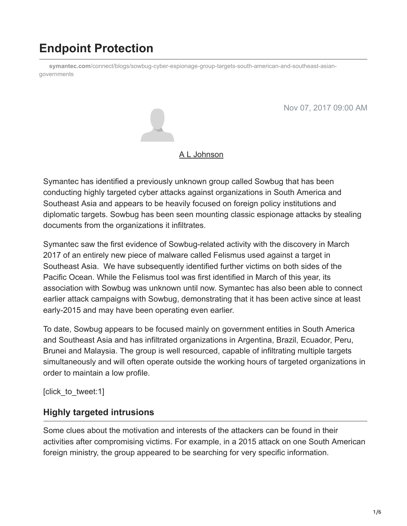# **Endpoint Protection**

**symantec.com**[/connect/blogs/sowbug-cyber-espionage-group-targets-south-american-and-southeast-asian](https://www.symantec.com/connect/blogs/sowbug-cyber-espionage-group-targets-south-american-and-southeast-asian-governments)governments

Nov 07, 2017 09:00 AM



#### [A L Johnson](https://community.broadcom.com/symantecenterprise/network/members/profile?UserKey=cbd453fd-3ce1-4c47-af77-d746256f9bc4)

Symantec has identified a previously unknown group called Sowbug that has been conducting highly targeted cyber attacks against organizations in South America and Southeast Asia and appears to be heavily focused on foreign policy institutions and diplomatic targets. Sowbug has been seen mounting classic espionage attacks by stealing documents from the organizations it infiltrates.

Symantec saw the first evidence of Sowbug-related activity with the discovery in March 2017 of an entirely new piece of malware called Felismus used against a target in Southeast Asia. We have subsequently identified further victims on both sides of the Pacific Ocean. While the Felismus tool was first identified in March of this year, its association with Sowbug was unknown until now. Symantec has also been able to connect earlier attack campaigns with Sowbug, demonstrating that it has been active since at least early-2015 and may have been operating even earlier.

To date, Sowbug appears to be focused mainly on government entities in South America and Southeast Asia and has infiltrated organizations in Argentina, Brazil, Ecuador, Peru, Brunei and Malaysia. The group is well resourced, capable of infiltrating multiple targets simultaneously and will often operate outside the working hours of targeted organizations in order to maintain a low profile.

[click to tweet:1]

#### **Highly targeted intrusions**

Some clues about the motivation and interests of the attackers can be found in their activities after compromising victims. For example, in a 2015 attack on one South American foreign ministry, the group appeared to be searching for very specific information.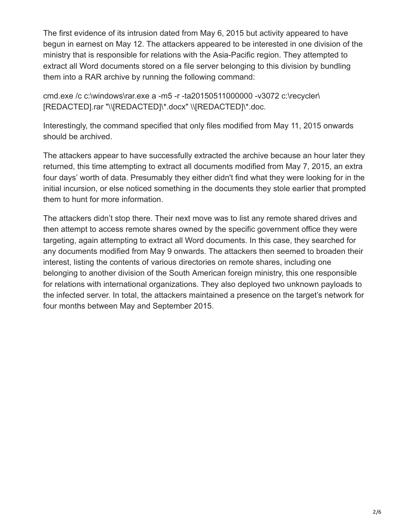The first evidence of its intrusion dated from May 6, 2015 but activity appeared to have begun in earnest on May 12. The attackers appeared to be interested in one division of the ministry that is responsible for relations with the Asia-Pacific region. They attempted to extract all Word documents stored on a file server belonging to this division by bundling them into a RAR archive by running the following command:

cmd.exe /c c:\windows\rar.exe a -m5 -r -ta20150511000000 -v3072 c:\recycler\ [REDACTED].rar "\\[REDACTED]\\*.docx" \\[REDACTED]\\*.doc.

Interestingly, the command specified that only files modified from May 11, 2015 onwards should be archived.

The attackers appear to have successfully extracted the archive because an hour later they returned, this time attempting to extract all documents modified from May 7, 2015, an extra four days' worth of data. Presumably they either didn't find what they were looking for in the initial incursion, or else noticed something in the documents they stole earlier that prompted them to hunt for more information.

The attackers didn't stop there. Their next move was to list any remote shared drives and then attempt to access remote shares owned by the specific government office they were targeting, again attempting to extract all Word documents. In this case, they searched for any documents modified from May 9 onwards. The attackers then seemed to broaden their interest, listing the contents of various directories on remote shares, including one belonging to another division of the South American foreign ministry, this one responsible for relations with international organizations. They also deployed two unknown payloads to the infected server. In total, the attackers maintained a presence on the target's network for four months between May and September 2015.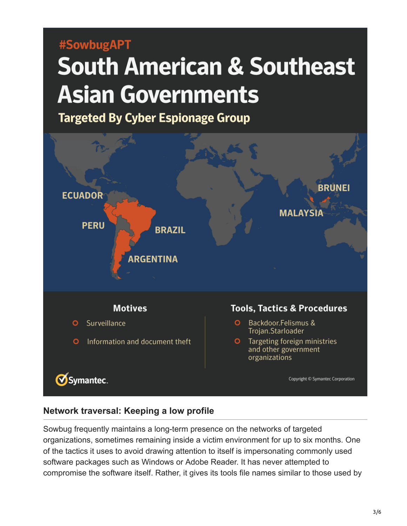## #SowbugAPT

# **South American & Southeast Asian Governments**

**Targeted By Cyber Espionage Group** 



#### **Network traversal: Keeping a low profile**

Sowbug frequently maintains a long-term presence on the networks of targeted organizations, sometimes remaining inside a victim environment for up to six months. One of the tactics it uses to avoid drawing attention to itself is impersonating commonly used software packages such as Windows or Adobe Reader. It has never attempted to compromise the software itself. Rather, it gives its tools file names similar to those used by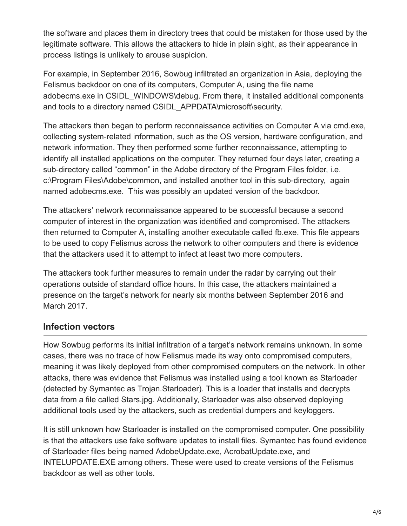the software and places them in directory trees that could be mistaken for those used by the legitimate software. This allows the attackers to hide in plain sight, as their appearance in process listings is unlikely to arouse suspicion.

For example, in September 2016, Sowbug infiltrated an organization in Asia, deploying the Felismus backdoor on one of its computers, Computer A, using the file name adobecms.exe in CSIDL\_WINDOWS\debug. From there, it installed additional components and tools to a directory named CSIDL\_APPDATA\microsoft\security.

The attackers then began to perform reconnaissance activities on Computer A via cmd.exe, collecting system-related information, such as the OS version, hardware configuration, and network information. They then performed some further reconnaissance, attempting to identify all installed applications on the computer. They returned four days later, creating a sub-directory called "common" in the Adobe directory of the Program Files folder, i.e. c:\Program Files\Adobe\common, and installed another tool in this sub-directory, again named adobecms.exe. This was possibly an updated version of the backdoor.

The attackers' network reconnaissance appeared to be successful because a second computer of interest in the organization was identified and compromised. The attackers then returned to Computer A, installing another executable called fb.exe. This file appears to be used to copy Felismus across the network to other computers and there is evidence that the attackers used it to attempt to infect at least two more computers.

The attackers took further measures to remain under the radar by carrying out their operations outside of standard office hours. In this case, the attackers maintained a presence on the target's network for nearly six months between September 2016 and March 2017.

### **Infection vectors**

How Sowbug performs its initial infiltration of a target's network remains unknown. In some cases, there was no trace of how Felismus made its way onto compromised computers, meaning it was likely deployed from other compromised computers on the network. In other attacks, there was evidence that Felismus was installed using a tool known as Starloader (detected by Symantec as Trojan.Starloader). This is a loader that installs and decrypts data from a file called Stars.jpg. Additionally, Starloader was also observed deploying additional tools used by the attackers, such as credential dumpers and keyloggers.

It is still unknown how Starloader is installed on the compromised computer. One possibility is that the attackers use fake software updates to install files. Symantec has found evidence of Starloader files being named AdobeUpdate.exe, AcrobatUpdate.exe, and INTELUPDATE.EXE among others. These were used to create versions of the Felismus backdoor as well as other tools.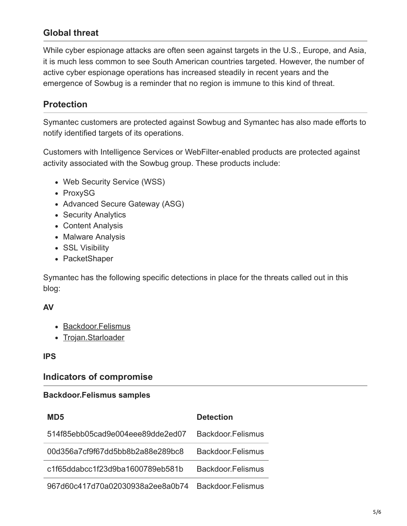#### **Global threat**

While cyber espionage attacks are often seen against targets in the U.S., Europe, and Asia, it is much less common to see South American countries targeted. However, the number of active cyber espionage operations has increased steadily in recent years and the emergence of Sowbug is a reminder that no region is immune to this kind of threat.

#### **Protection**

Symantec customers are protected against Sowbug and Symantec has also made efforts to notify identified targets of its operations.

Customers with Intelligence Services or WebFilter-enabled products are protected against activity associated with the Sowbug group. These products include:

- Web Security Service (WSS)
- ProxySG
- Advanced Secure Gateway (ASG)
- Security Analytics
- Content Analysis
- Malware Analysis
- SSL Visibility
- PacketShaper

Symantec has the following specific detections in place for the threats called out in this blog:

#### **AV**

- [Backdoor.Felismus](https://www.symantec.com/security_response/writeup.jsp?docid=2017-052906-1608-99)
- [Trojan.Starloader](https://www.symantec.com/security_response/writeup.jsp?docid=2017-092904-4221-99)

#### **IPS**

#### **Indicators of compromise**

#### **Backdoor.Felismus samples**

| MD5                              | <b>Detection</b>  |
|----------------------------------|-------------------|
| 514f85ebb05cad9e004eee89dde2ed07 | Backdoor Felismus |
| 00d356a7cf9f67dd5bb8b2a88e289bc8 | Backdoor Felismus |
| c1f65ddabcc1f23d9ba1600789eb581b | Backdoor Felismus |
| 967d60c417d70a02030938a2ee8a0b74 | Backdoor Felismus |